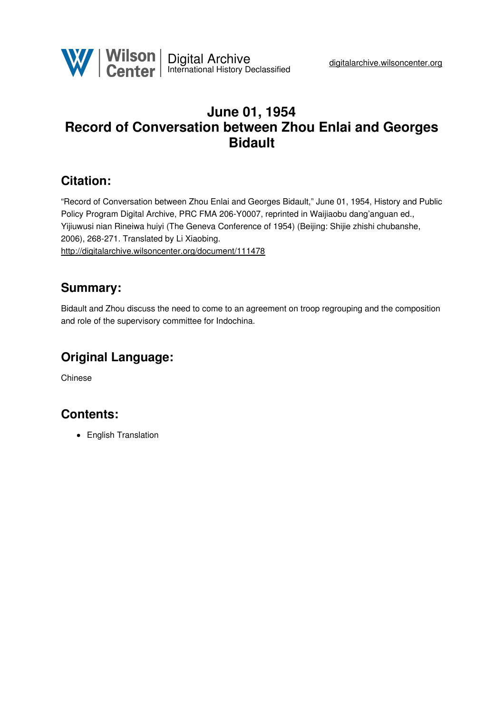

## **June 01, 1954 Record of Conversation between Zhou Enlai and Georges Bidault**

### **Citation:**

"Record of Conversation between Zhou Enlai and Georges Bidault," June 01, 1954, History and Public Policy Program Digital Archive, PRC FMA 206-Y0007, reprinted in Waijiaobu dang'anguan ed., Yijiuwusi nian Rineiwa huiyi (The Geneva Conference of 1954) (Beijing: Shijie zhishi chubanshe, 2006), 268-271. Translated by Li Xiaobing. <http://digitalarchive.wilsoncenter.org/document/111478>

#### **Summary:**

Bidault and Zhou discuss the need to come to an agreement on troop regrouping and the composition and role of the supervisory committee for Indochina.

# **Original Language:**

Chinese

#### **Contents:**

• English Translation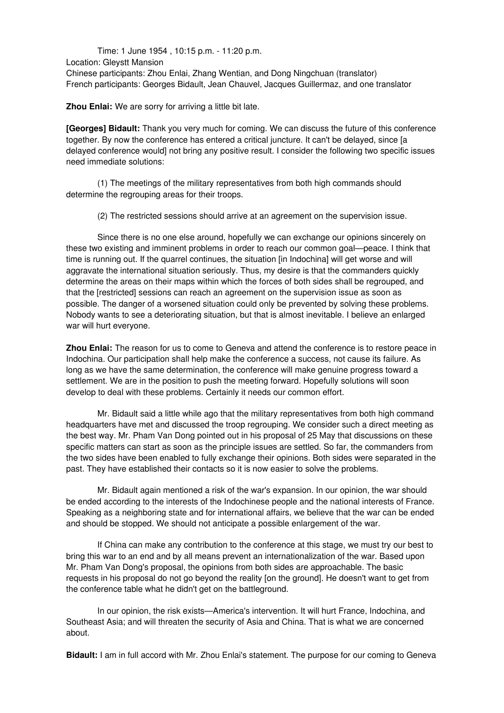Time: 1 June 1954 , 10:15 p.m. - 11:20 p.m. Location: Gleystt Mansion Chinese participants: Zhou Enlai, Zhang Wentian, and Dong Ningchuan (translator) French participants: Georges Bidault, Jean Chauvel, Jacques Guillermaz, and one translator

**Zhou Enlai:** We are sorry for arriving a little bit late.

**[Georges] Bidault:** Thank you very much for coming. We can discuss the future of this conference together. By now the conference has entered a critical juncture. It can't be delayed, since [a delayed conference would] not bring any positive result. I consider the following two specific issues need immediate solutions:

(1) The meetings of the military representatives from both high commands should determine the regrouping areas for their troops.

(2) The restricted sessions should arrive at an agreement on the supervision issue.

Since there is no one else around, hopefully we can exchange our opinions sincerely on these two existing and imminent problems in order to reach our common goal—peace. I think that time is running out. If the quarrel continues, the situation [in Indochina] will get worse and will aggravate the international situation seriously. Thus, my desire is that the commanders quickly determine the areas on their maps within which the forces of both sides shall be regrouped, and that the [restricted] sessions can reach an agreement on the supervision issue as soon as possible. The danger of a worsened situation could only be prevented by solving these problems. Nobody wants to see a deteriorating situation, but that is almost inevitable. I believe an enlarged war will hurt everyone.

**Zhou Enlai:** The reason for us to come to Geneva and attend the conference is to restore peace in Indochina. Our participation shall help make the conference a success, not cause its failure. As long as we have the same determination, the conference will make genuine progress toward a settlement. We are in the position to push the meeting forward. Hopefully solutions will soon develop to deal with these problems. Certainly it needs our common effort.

Mr. Bidault said a little while ago that the military representatives from both high command headquarters have met and discussed the troop regrouping. We consider such a direct meeting as the best way. Mr. Pham Van Dong pointed out in his proposal of 25 May that discussions on these specific matters can start as soon as the principle issues are settled. So far, the commanders from the two sides have been enabled to fully exchange their opinions. Both sides were separated in the past. They have established their contacts so it is now easier to solve the problems.

Mr. Bidault again mentioned a risk of the war's expansion. In our opinion, the war should be ended according to the interests of the Indochinese people and the national interests of France. Speaking as a neighboring state and for international affairs, we believe that the war can be ended and should be stopped. We should not anticipate a possible enlargement of the war.

If China can make any contribution to the conference at this stage, we must try our best to bring this war to an end and by all means prevent an internationalization of the war. Based upon Mr. Pham Van Dong's proposal, the opinions from both sides are approachable. The basic requests in his proposal do not go beyond the reality [on the ground]. He doesn't want to get from the conference table what he didn't get on the battleground.

In our opinion, the risk exists—America's intervention. It will hurt France, Indochina, and Southeast Asia; and will threaten the security of Asia and China. That is what we are concerned about.

**Bidault:** I am in full accord with Mr. Zhou Enlai's statement. The purpose for our coming to Geneva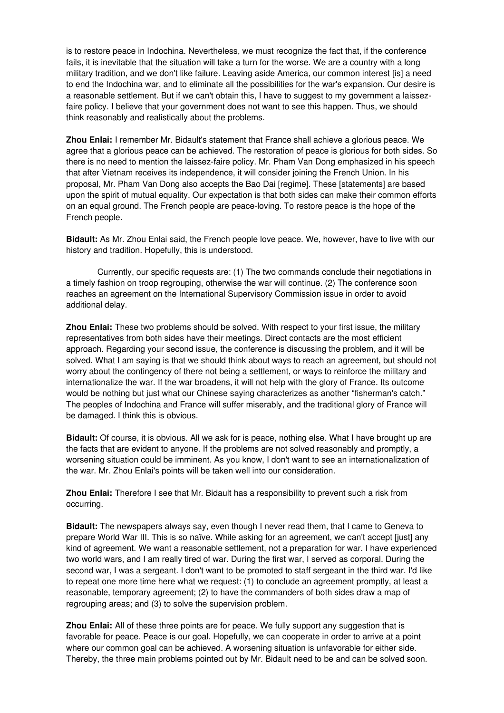is to restore peace in Indochina. Nevertheless, we must recognize the fact that, if the conference fails, it is inevitable that the situation will take a turn for the worse. We are a country with a long military tradition, and we don't like failure. Leaving aside America, our common interest [is] a need to end the Indochina war, and to eliminate all the possibilities for the war's expansion. Our desire is a reasonable settlement. But if we can't obtain this, I have to suggest to my government a laissezfaire policy. I believe that your government does not want to see this happen. Thus, we should think reasonably and realistically about the problems.

**Zhou Enlai:** I remember Mr. Bidault's statement that France shall achieve a glorious peace. We agree that a glorious peace can be achieved. The restoration of peace is glorious for both sides. So there is no need to mention the laissez-faire policy. Mr. Pham Van Dong emphasized in his speech that after Vietnam receives its independence, it will consider joining the French Union. In his proposal, Mr. Pham Van Dong also accepts the Bao Dai [regime]. These [statements] are based upon the spirit of mutual equality. Our expectation is that both sides can make their common efforts on an equal ground. The French people are peace-loving. To restore peace is the hope of the French people.

**Bidault:** As Mr. Zhou Enlai said, the French people love peace. We, however, have to live with our history and tradition. Hopefully, this is understood.

Currently, our specific requests are: (1) The two commands conclude their negotiations in a timely fashion on troop regrouping, otherwise the war will continue. (2) The conference soon reaches an agreement on the International Supervisory Commission issue in order to avoid additional delay.

**Zhou Enlai:** These two problems should be solved. With respect to your first issue, the military representatives from both sides have their meetings. Direct contacts are the most efficient approach. Regarding your second issue, the conference is discussing the problem, and it will be solved. What I am saying is that we should think about ways to reach an agreement, but should not worry about the contingency of there not being a settlement, or ways to reinforce the military and internationalize the war. If the war broadens, it will not help with the glory of France. Its outcome would be nothing but just what our Chinese saying characterizes as another "fisherman's catch." The peoples of Indochina and France will suffer miserably, and the traditional glory of France will be damaged. I think this is obvious.

**Bidault:** Of course, it is obvious. All we ask for is peace, nothing else. What I have brought up are the facts that are evident to anyone. If the problems are not solved reasonably and promptly, a worsening situation could be imminent. As you know, I don't want to see an internationalization of the war. Mr. Zhou Enlai's points will be taken well into our consideration.

**Zhou Enlai:** Therefore I see that Mr. Bidault has a responsibility to prevent such a risk from occurring.

**Bidault:** The newspapers always say, even though I never read them, that I came to Geneva to prepare World War III. This is so naïve. While asking for an agreement, we can't accept [just] any kind of agreement. We want a reasonable settlement, not a preparation for war. I have experienced two world wars, and I am really tired of war. During the first war, I served as corporal. During the second war, I was a sergeant. I don't want to be promoted to staff sergeant in the third war. I'd like to repeat one more time here what we request: (1) to conclude an agreement promptly, at least a reasonable, temporary agreement; (2) to have the commanders of both sides draw a map of regrouping areas; and (3) to solve the supervision problem.

**Zhou Enlai:** All of these three points are for peace. We fully support any suggestion that is favorable for peace. Peace is our goal. Hopefully, we can cooperate in order to arrive at a point where our common goal can be achieved. A worsening situation is unfavorable for either side. Thereby, the three main problems pointed out by Mr. Bidault need to be and can be solved soon.